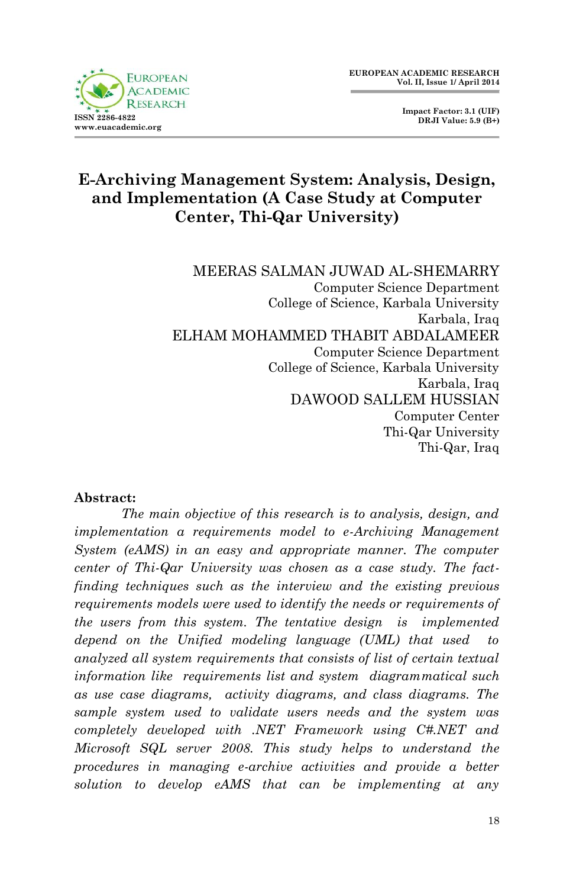

**Impact Factor: 3.1 (UIF) DRJI Value: 5.9 (B+)**

### **E-Archiving Management System: Analysis, Design, and Implementation (A Case Study at Computer Center, Thi-Qar University)**

MEERAS SALMAN JUWAD AL-SHEMARRY Computer Science Department College of Science, Karbala University Karbala, Iraq ELHAM MOHAMMED THABIT ABDALAMEER Computer Science Department College of Science, Karbala University Karbala, Iraq DAWOOD SALLEM HUSSIAN Computer Center Thi-Qar University Thi-Qar, Iraq

#### **Abstract:**

*The main objective of this research is to analysis, design, and implementation a requirements model to e-Archiving Management System (eAMS) in an easy and appropriate manner. The computer center of Thi-Qar University was chosen as a case study. The factfinding techniques such as the interview and the existing previous requirements models were used to identify the needs or requirements of the users from this system. The tentative design is implemented depend on the Unified modeling language (UML) that used to analyzed all system requirements that consists of list of certain textual information like requirements list and system diagrammatical such as use case diagrams, activity diagrams, and class diagrams. The sample system used to validate users needs and the system was completely developed with .NET Framework using C#.NET and Microsoft SQL server 2008. This study helps to understand the procedures in managing e-archive activities and provide a better solution to develop eAMS that can be implementing at any*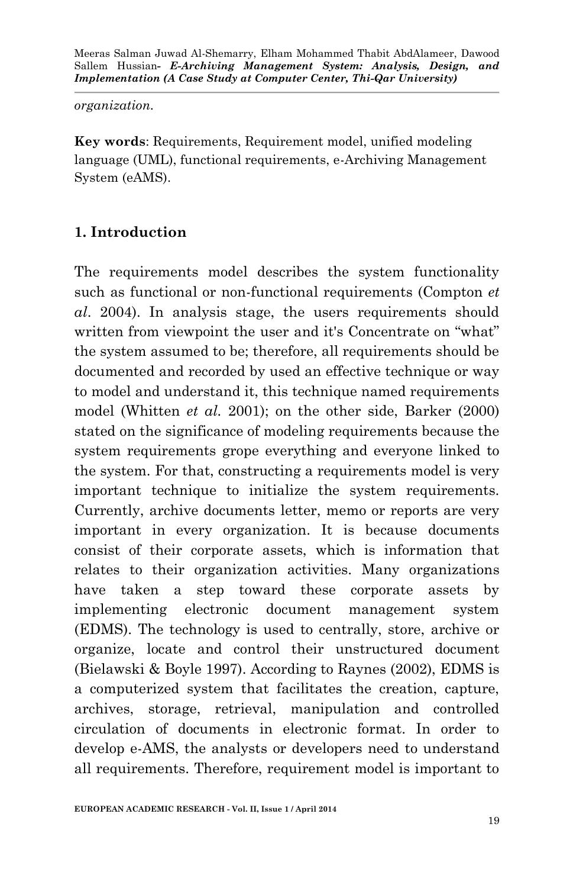*organization.*

**Key words**: Requirements, Requirement model, unified modeling language (UML), functional requirements, e-Archiving Management System (eAMS).

## **1. Introduction**

The requirements model describes the system functionality such as functional or non-functional requirements (Compton *et al*. 2004). In analysis stage, the users requirements should written from viewpoint the user and it's Concentrate on "what" the system assumed to be; therefore, all requirements should be documented and recorded by used an effective technique or way to model and understand it, this technique named requirements model (Whitten *et al.* 2001); on the other side, Barker (2000) stated on the significance of modeling requirements because the system requirements grope everything and everyone linked to the system. For that, constructing a requirements model is very important technique to initialize the system requirements. Currently, archive documents letter, memo or reports are very important in every organization. It is because documents consist of their corporate assets, which is information that relates to their organization activities. Many organizations have taken a step toward these corporate assets by implementing electronic document management system (EDMS). The technology is used to centrally, store, archive or organize, locate and control their unstructured document (Bielawski & Boyle 1997). According to Raynes (2002), EDMS is a computerized system that facilitates the creation, capture, archives, storage, retrieval, manipulation and controlled circulation of documents in electronic format. In order to develop e-AMS, the analysts or developers need to understand all requirements. Therefore, requirement model is important to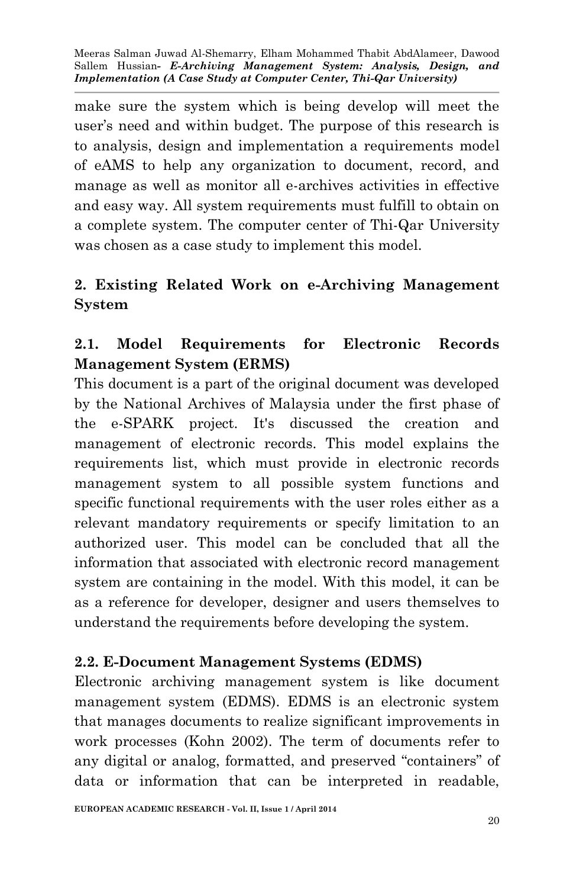make sure the system which is being develop will meet the user's need and within budget. The purpose of this research is to analysis, design and implementation a requirements model of eAMS to help any organization to document, record, and manage as well as monitor all e-archives activities in effective and easy way. All system requirements must fulfill to obtain on a complete system. The computer center of Thi-Qar University was chosen as a case study to implement this model.

## **2. Existing Related Work on e-Archiving Management System**

# **2.1. Model Requirements for Electronic Records Management System (ERMS)**

This document is a part of the original document was developed by the National Archives of Malaysia under the first phase of the e-SPARK project. It's discussed the creation and management of electronic records. This model explains the requirements list, which must provide in electronic records management system to all possible system functions and specific functional requirements with the user roles either as a relevant mandatory requirements or specify limitation to an authorized user. This model can be concluded that all the information that associated with electronic record management system are containing in the model. With this model, it can be as a reference for developer, designer and users themselves to understand the requirements before developing the system.

### **2.2. E-Document Management Systems (EDMS)**

Electronic archiving management system is like document management system (EDMS). EDMS is an electronic system that manages documents to realize significant improvements in work processes (Kohn 2002). The term of documents refer to any digital or analog, formatted, and preserved "containers" of data or information that can be interpreted in readable,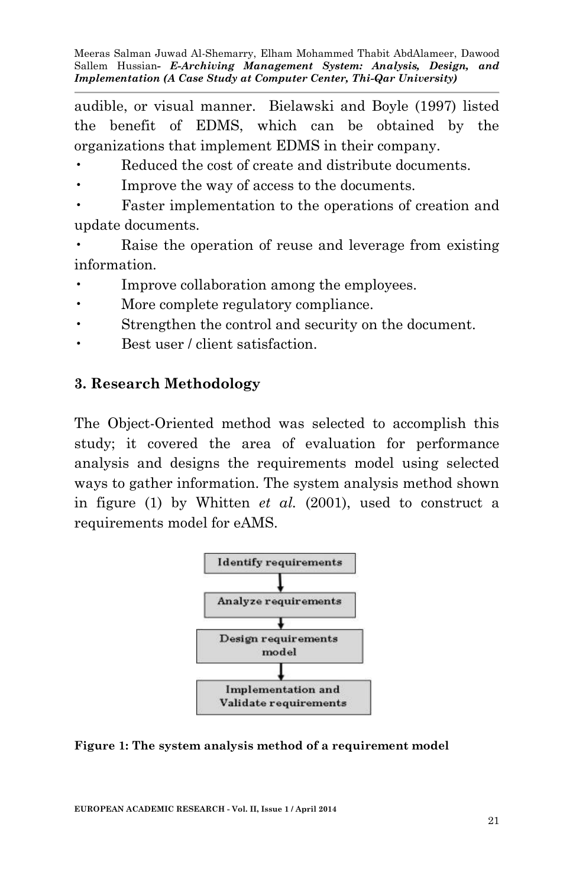audible, or visual manner. Bielawski and Boyle (1997) listed the benefit of EDMS, which can be obtained by the organizations that implement EDMS in their company.

- Reduced the cost of create and distribute documents.
- Improve the way of access to the documents.
- Faster implementation to the operations of creation and update documents.

Raise the operation of reuse and leverage from existing information.

- Improve collaboration among the employees.
- More complete regulatory compliance.
- Strengthen the control and security on the document.
- Best user / client satisfaction.

#### **3. Research Methodology**

The Object-Oriented method was selected to accomplish this study; it covered the area of evaluation for performance analysis and designs the requirements model using selected ways to gather information. The system analysis method shown in figure (1) by Whitten *et al.* (2001), used to construct a requirements model for eAMS.



**Figure 1: The system analysis method of a requirement model**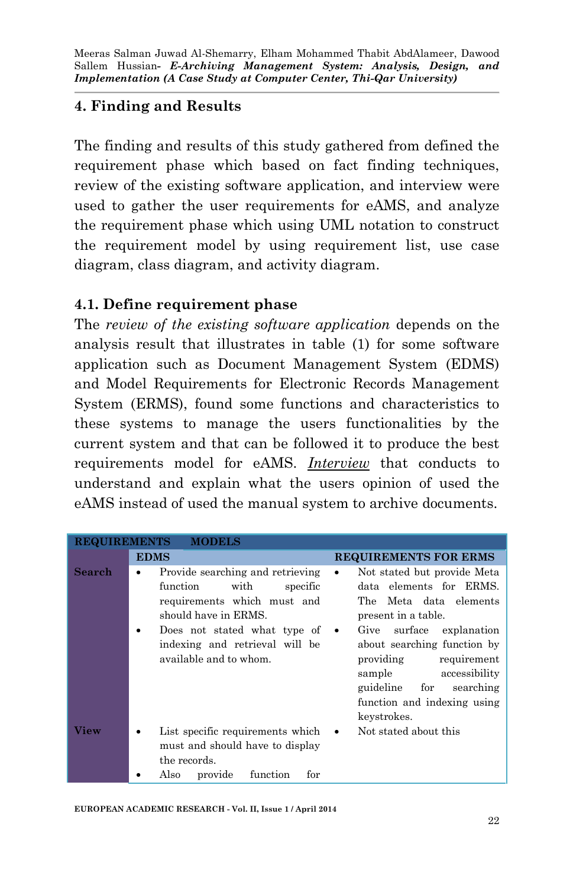#### **4. Finding and Results**

The finding and results of this study gathered from defined the requirement phase which based on fact finding techniques, review of the existing software application, and interview were used to gather the user requirements for eAMS, and analyze the requirement phase which using UML notation to construct the requirement model by using requirement list, use case diagram, class diagram, and activity diagram.

#### **4.1. Define requirement phase**

The *review of the existing software application* depends on the analysis result that illustrates in table (1) for some software application such as Document Management System (EDMS) and Model Requirements for Electronic Records Management System (ERMS), found some functions and characteristics to these systems to manage the users functionalities by the current system and that can be followed it to produce the best requirements model for eAMS. *Interview* that conducts to understand and explain what the users opinion of used the eAMS instead of used the manual system to archive documents.

| <b>REQUIREMENTS</b> | <b>MODELS</b>                                                                                                             |                                                                                                                                                                                                            |
|---------------------|---------------------------------------------------------------------------------------------------------------------------|------------------------------------------------------------------------------------------------------------------------------------------------------------------------------------------------------------|
|                     | <b>EDMS</b>                                                                                                               | <b>REQUIREMENTS FOR ERMS</b>                                                                                                                                                                               |
| Search              | Provide searching and retrieving<br>function<br>with<br>specific<br>requirements which must and<br>should have in ERMS.   | Not stated but provide Meta<br>data elements for ERMS.<br>The Meta data elements<br>present in a table.                                                                                                    |
|                     | Does not stated what type of<br>indexing and retrieval will be<br>available and to whom.                                  | Give surface explanation<br>$\bullet$<br>about searching function by<br>providing<br>requirement<br>sample<br>accessibility<br>guideline<br>for<br>searching<br>function and indexing using<br>keystrokes. |
| View                | List specific requirements which<br>must and should have to display<br>the records.<br>Also<br>provide<br>function<br>for | Not stated about this<br>$\bullet$                                                                                                                                                                         |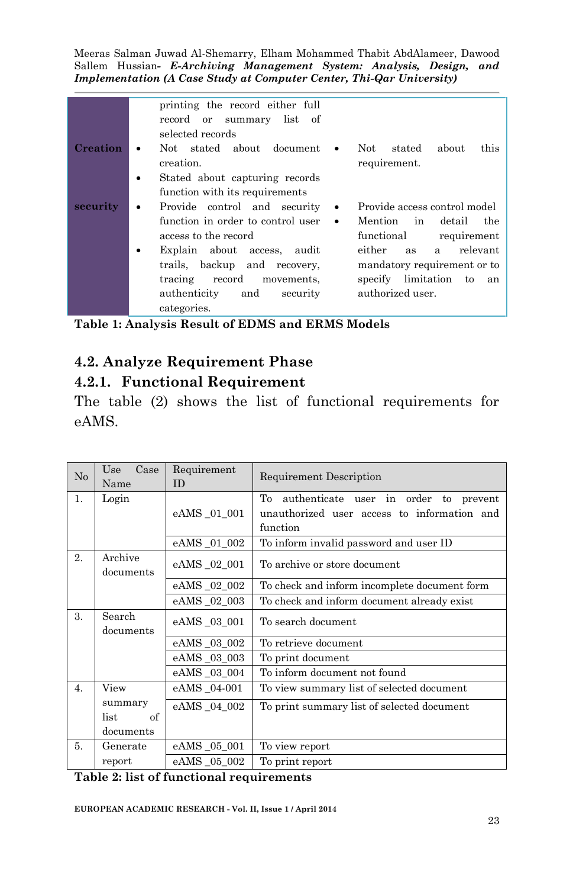|                 | printing the record either full<br>record or summary list of<br>selected records                                                                                                                                                                                                                    |                                                                                                                                                                                     |
|-----------------|-----------------------------------------------------------------------------------------------------------------------------------------------------------------------------------------------------------------------------------------------------------------------------------------------------|-------------------------------------------------------------------------------------------------------------------------------------------------------------------------------------|
| <b>Creation</b> | Not stated about document<br>Not stated<br>$\bullet$<br>creation.<br>requirement.<br>Stated about capturing records<br>٠<br>function with its requirements                                                                                                                                          | this<br>about                                                                                                                                                                       |
| security        | Provide control and security<br>$\bullet$<br>٠<br>function in order to control user<br>$\bullet$<br>access to the record<br>functional<br>either<br>Explain about access, audit<br>٠<br>trails, backup and recovery,<br>tracing record<br>movements,<br>authenticity and<br>security<br>categories. | Provide access control model<br>Mention in detail<br>the<br>requirement<br>relevant<br>a<br>as<br>mandatory requirement or to<br>specify limitation<br>to<br>an<br>authorized user. |

**Table 1: Analysis Result of EDMS and ERMS Models**

#### **4.2. Analyze Requirement Phase 4.2.1. Functional Requirement**

The table (2) shows the list of functional requirements for eAMS.

| $\rm No$         | Case<br>Use<br>Name  | Requirement<br>ID | <b>Requirement Description</b>                    |
|------------------|----------------------|-------------------|---------------------------------------------------|
| 1.               | Login                |                   | To<br>authenticate user in order<br>to<br>prevent |
|                  |                      | eAMS 01 001       | unauthorized user access to information and       |
|                  |                      |                   | function                                          |
|                  |                      | eAMS _01_002      | To inform invalid password and user ID            |
| $\overline{2}$ . | Archive<br>documents | eAMS 02 001       | To archive or store document                      |
|                  |                      | eAMS _02_002      | To check and inform incomplete document form      |
|                  |                      | eAMS 02 003       | To check and inform document already exist        |
| 3.               | Search<br>documents  | eAMS 03 001       | To search document                                |
|                  |                      | eAMS _03_002      | To retrieve document                              |
|                  |                      | eAMS _03_003      | To print document                                 |
|                  |                      | eAMS 03 004       | To inform document not found                      |
| 4.               | View                 | eAMS _04-001      | To view summary list of selected document         |
|                  | summary              | eAMS 04 002       | To print summary list of selected document        |
|                  | $_{\rm list}$<br>of  |                   |                                                   |
|                  | documents            |                   |                                                   |
| 5.               | Generate             | eAMS _05_001      | To view report                                    |
|                  | report               | eAMS _05_002      | To print report                                   |

**Table 2: list of functional requirements**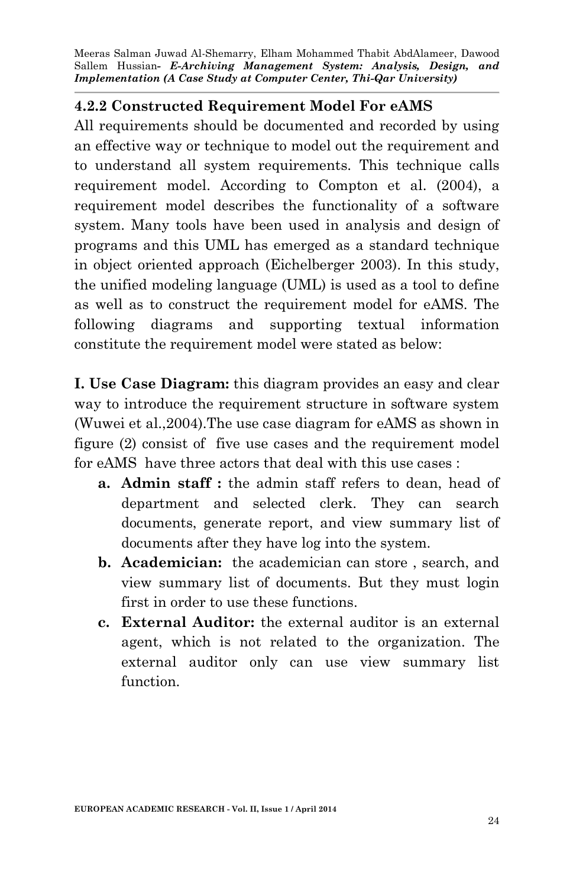#### **4.2.2 Constructed Requirement Model For eAMS**

All requirements should be documented and recorded by using an effective way or technique to model out the requirement and to understand all system requirements. This technique calls requirement model. According to Compton et al. (2004), a requirement model describes the functionality of a software system. Many tools have been used in analysis and design of programs and this UML has emerged as a standard technique in object oriented approach (Eichelberger 2003). In this study, the unified modeling language (UML) is used as a tool to define as well as to construct the requirement model for eAMS. The following diagrams and supporting textual information constitute the requirement model were stated as below:

**I. Use Case Diagram:** this diagram provides an easy and clear way to introduce the requirement structure in software system (Wuwei et al.,2004).The use case diagram for eAMS as shown in figure (2) consist of five use cases and the requirement model for eAMS have three actors that deal with this use cases :

- **a. Admin staff :** the admin staff refers to dean, head of department and selected clerk. They can search documents, generate report, and view summary list of documents after they have log into the system.
- **b. Academician:** the academician can store , search, and view summary list of documents. But they must login first in order to use these functions.
- **c. External Auditor:** the external auditor is an external agent, which is not related to the organization. The external auditor only can use view summary list function.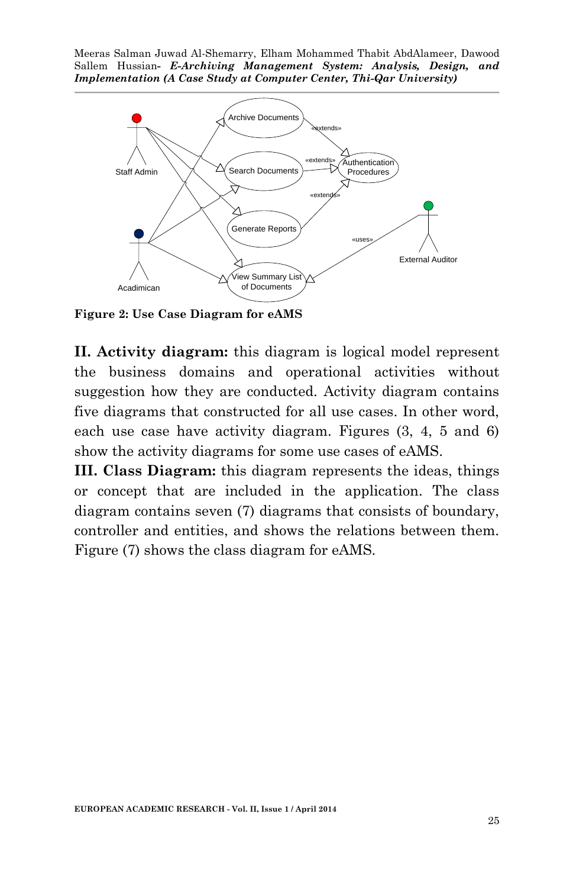

**Figure 2: Use Case Diagram for eAMS**

**II. Activity diagram:** this diagram is logical model represent the business domains and operational activities without suggestion how they are conducted. Activity diagram contains five diagrams that constructed for all use cases. In other word, each use case have activity diagram. Figures (3, 4, 5 and 6) show the activity diagrams for some use cases of eAMS.

**III. Class Diagram:** this diagram represents the ideas, things or concept that are included in the application. The class diagram contains seven (7) diagrams that consists of boundary, controller and entities, and shows the relations between them. Figure (7) shows the class diagram for eAMS.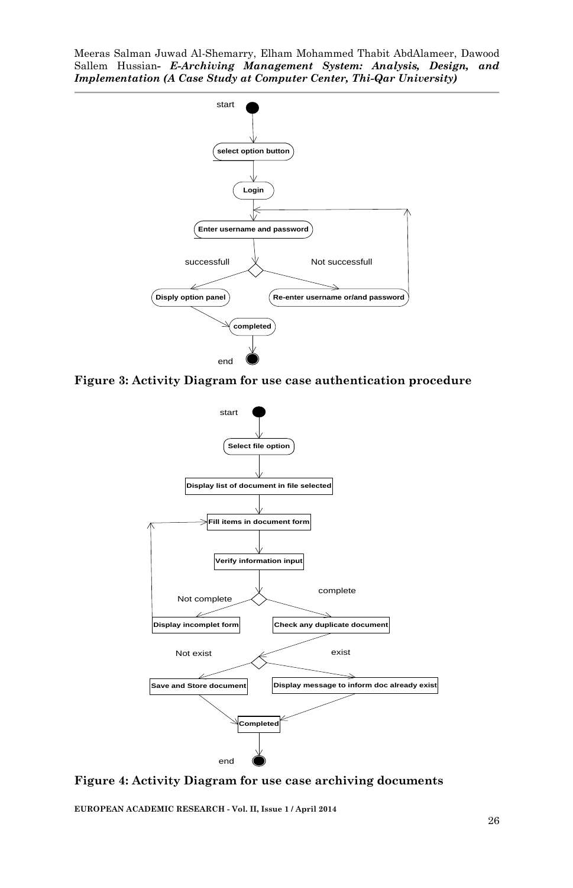

**Figure 3: Activity Diagram for use case authentication procedure**



**Figure 4: Activity Diagram for use case archiving documents**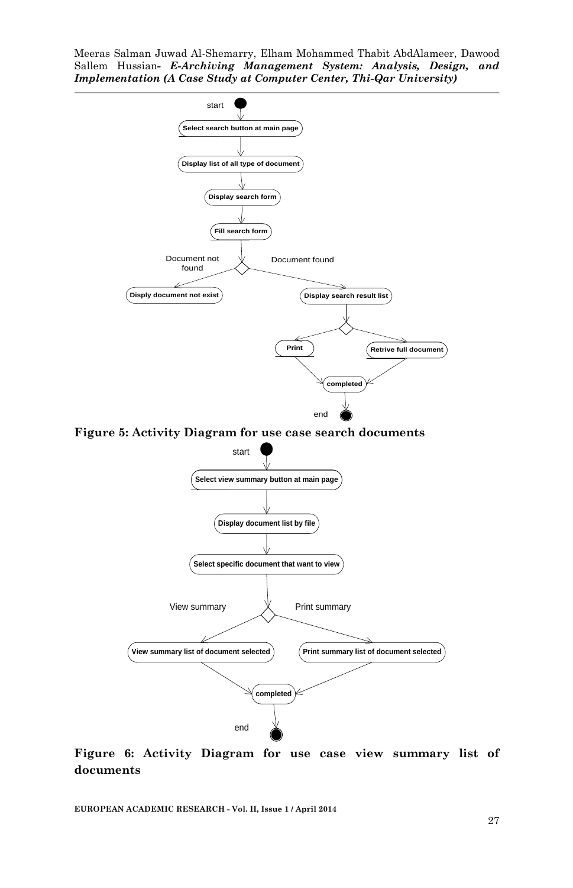

**Figure 6: Activity Diagram for use case view summary list of documents**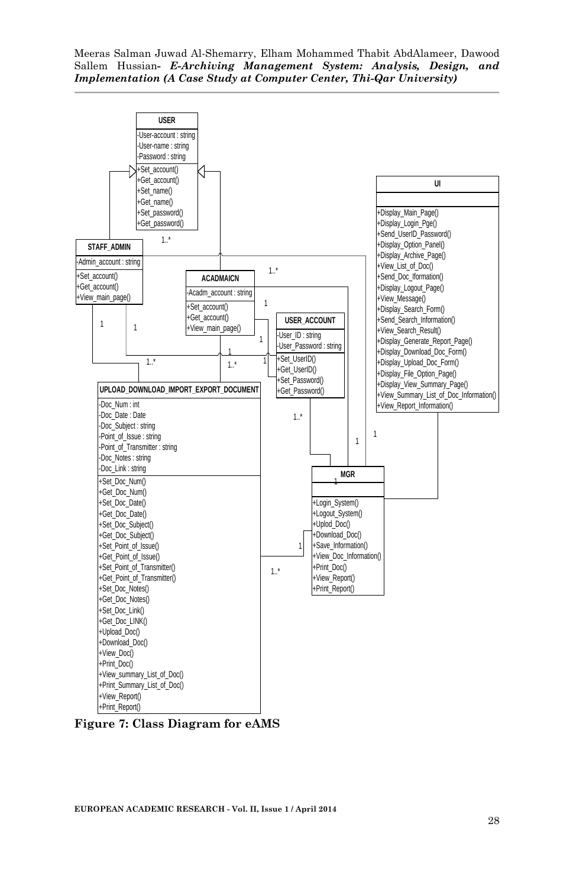

**Figure 7: Class Diagram for eAMS**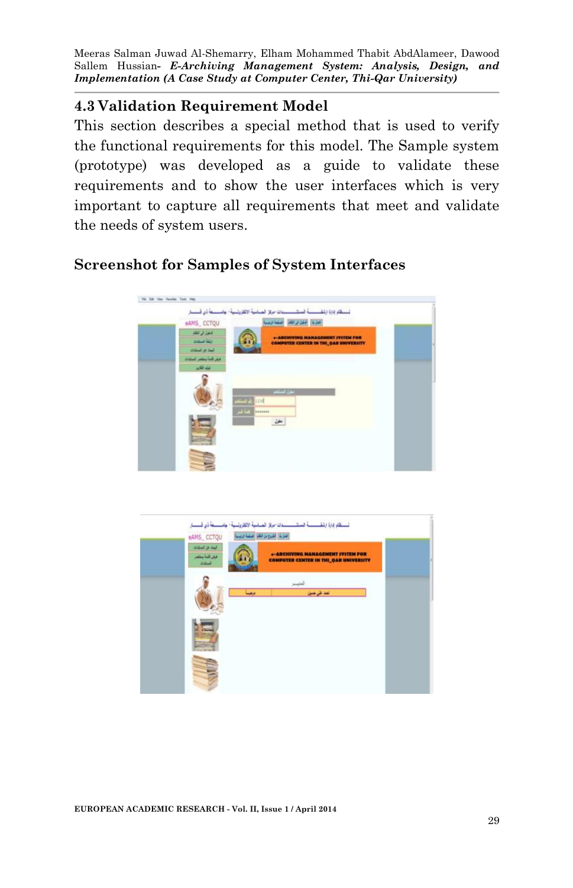#### **4.3 Validation Requirement Model**

This section describes a special method that is used to verify the functional requirements for this model. The Sample system (prototype) was developed as a guide to validate these requirements and to show the user interfaces which is very important to capture all requirements that meet and validate the needs of system users.

#### **Screenshot for Samples of System Interfaces**



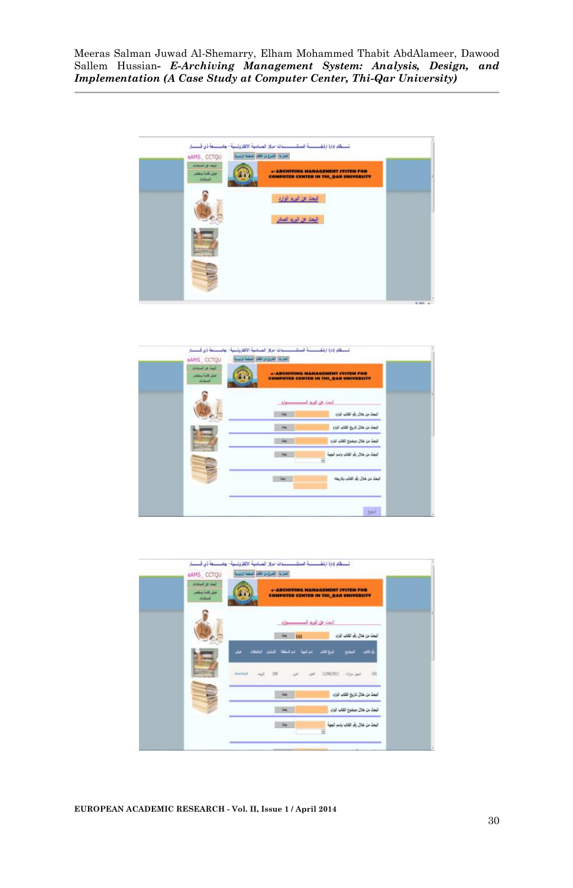



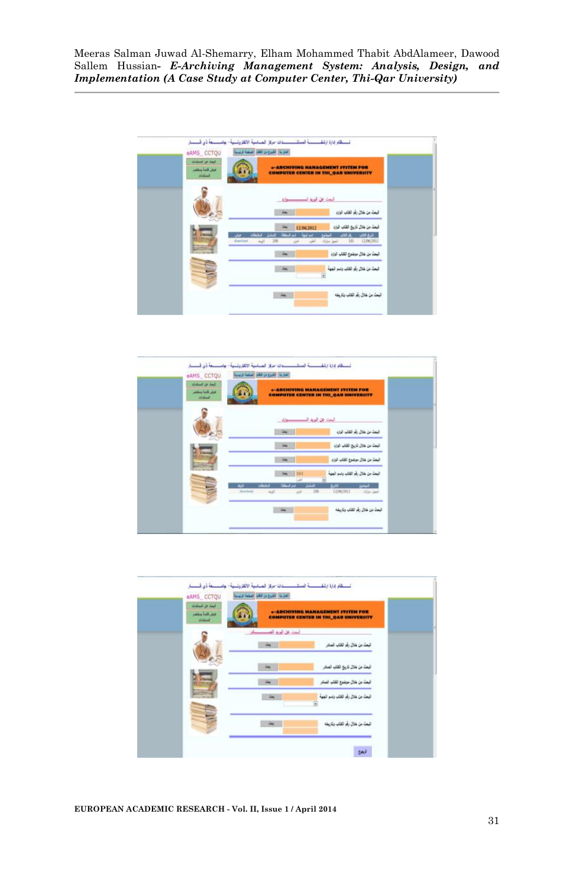| eAMS_CCTQU                                     | أهتزت الفروس فقد أفتقية ترعيبة                                                                                                            |  |
|------------------------------------------------|-------------------------------------------------------------------------------------------------------------------------------------------|--|
| البعادين فسنتوت<br>حجل فلمة ينتصر<br>المستدانة | <b>«-ARCHIVING MANAGEMENT IVITEM FOR</b><br><b>COMPUTER CENTER IN THI_OAR UNIVERSITY</b>                                                  |  |
|                                                | البحث عن البريد الـــــــــــــــــــــوازد<br>البعث من خلال رقم اللثاب الوازد                                                            |  |
|                                                | البعث من خلال تاريخ القاب الوازد<br>12/06/2012<br>÷<br>استأمهه استحطانا<br>البرشرم<br>المختصب بإمالتك<br><b>UNK</b><br>تناسلت<br>downtown |  |
|                                                | (d) = lest 101 12/06/2012<br>$A_2(1) = 300$<br><b>Edge</b> Light<br>البعث من خلال مرضوع القتب الوزد<br><b>Die</b>                         |  |
| Ę                                              | البعثُ من هَلال رقم القالب واسم الجهةُ<br><b>Dec</b><br>T.                                                                                |  |
|                                                | البعث من خلال رقم الكتاب وتاريخه<br><b>CAL</b>                                                                                            |  |

| distant or deal.<br>عابل فاعة ينتصر<br>فستدت |                |                                                             | <b><i><u>U-ARCHIVING MANAGEMENT IVITEM FOR</u></i></b><br>COMPUTER CENTER IN THI_OAR UNIVERSITY |  |
|----------------------------------------------|----------------|-------------------------------------------------------------|-------------------------------------------------------------------------------------------------|--|
|                                              |                | البحث عن البريد الــــــــــــــــودد                       |                                                                                                 |  |
|                                              |                |                                                             | البعث من خلال رقم القاب الوازد                                                                  |  |
|                                              |                | iles.                                                       | البعث من خلال تاريخ القلب آلوازد                                                                |  |
|                                              |                | $\frac{1}{2}$                                               | أنبعثُ من خلال موضوع القتاب الوازد                                                              |  |
|                                              |                | 101<br>ila)<br><b>Call</b>                                  | البعث من خلال رقم القتب ونسم الجهة                                                              |  |
| SMOT                                         | w<br>described | click)<br><b>Calculation</b><br>صفت<br>200<br>indi<br>id Al | $\overline{a}$<br>تبذوع<br>12/06/2012<br><b>Dide Jack</b>                                       |  |
|                                              |                | <b>Color Color</b>                                          | البعث من غلال رقم الكتاب وتاريخه                                                                |  |

| <b>Although the Small</b><br>احتراكنا بنصر<br>Wald |                          | <b>U-ARCHIVING MANAGEMENT IVITEM FOR</b><br><b>COMPUTER CENTER IN THI_OAR UNIVERSITY</b> |  |
|----------------------------------------------------|--------------------------|------------------------------------------------------------------------------------------|--|
|                                                    | أنمت عن الويد المستنسسان |                                                                                          |  |
|                                                    |                          | البعث من خلال رقم القالب الصادر                                                          |  |
|                                                    |                          | البعث من هلال تاريخ القاب الصادر                                                         |  |
|                                                    |                          | البعثُ من خلال موضوع القتاب الصادر                                                       |  |
|                                                    | $\Delta x$               | البعث من خلال رقم القتاب ونسم الجهة <mark>.</mark><br>$\overline{\bullet}$               |  |
| Ē                                                  | $\frac{1}{2}$            | البعث من خلال رقم القتاب وتاريخه                                                         |  |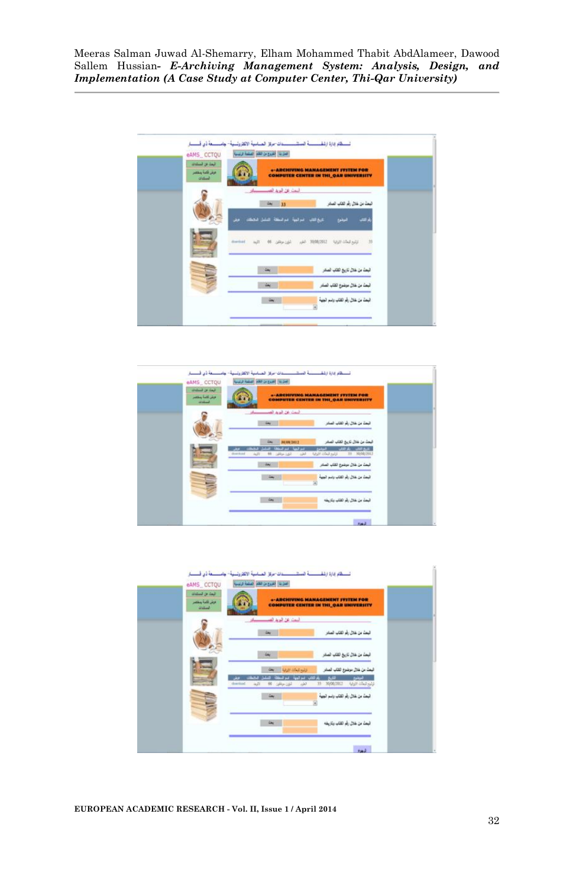| البعد عن المستوف<br>أهولني فأكمنا وسقاعتن<br>فسنتدف |                                                                                            | <b>«-ARCHIVING MANAGEMENT SYSTEM FOR</b><br>COMPUTER CENTER IN THI_OAR UNIVERSITY |  |
|-----------------------------------------------------|--------------------------------------------------------------------------------------------|-----------------------------------------------------------------------------------|--|
|                                                     | البث عن الويد العب<br>$\Delta\omega$ 33<br>الليخ فقلب المرقبهة غيرفيطلة النئبل فخمطك الجفر | البعث من خلال رقم القلب الصادر<br>فرانتب<br>الفهقعرع                              |  |
|                                                     | United States (100) 900-2012 Aug. April 1997 - Nov.<br>directived                          | 33                                                                                |  |
|                                                     | <b>CAL</b><br><b>CAN</b>                                                                   | لبعث من هَلال تاريخ لل <i>كتب الصادر</i><br>البعث من خلال موضوع الكتاب الصادر     |  |

| المذبن فستباطأ<br>أفرش فالمأ ينطلعن<br><b>SHELL</b> |                                                                      | <b><i><b>.- ARCHIVING MANAGEMENT IVITEM FOR</b></i></b><br>COMPUTER CENTER IN THE OAR UNIVERSITY |
|-----------------------------------------------------|----------------------------------------------------------------------|--------------------------------------------------------------------------------------------------|
|                                                     | النمت عن البريد العب<br><b>COMMA</b>                                 | البعث من خلال رقم القتاب الصادر                                                                  |
|                                                     | 40.08.2012<br><b>GM</b><br>المركبية المراسلانة النشل الجنانات<br>. . | أيمتُ من هَائل ناريخ ثقلب الصادر<br>القروفاني رقرفتان<br><b><i><u>Andrew Barrison</u></i></b>    |
|                                                     | Mr. Macedon M<br>morned.<br>WA                                       | MAN ONE AU 11 NORROWED<br>ألبعث من خلال موضوع القلب الصلار                                       |
| E                                                   |                                                                      | البعث من هلال رأم القاب ونسم الجهة<br>$\overline{a}$                                             |
|                                                     | <b>CAL</b>                                                           | البعث من لهلال رقم القائب وتاريخه                                                                |

| الملاحل المسلدات<br>أعرش فالمأ يستنفيز<br>$_{\text{out-1}}$ | <b>4-ARCHIVING MANAGEMENT IVITEM FOR</b><br>COMPUTER CENTER IN THI_OAR UNIVERSITY                                                                    |  |
|-------------------------------------------------------------|------------------------------------------------------------------------------------------------------------------------------------------------------|--|
|                                                             | البعث عن البريد العب                                                                                                                                 |  |
|                                                             | البعث من هلال رقم الكتاب الصادر<br>241                                                                                                               |  |
|                                                             | ألبعث من خلال تاريخ اللثاب الصادر                                                                                                                    |  |
|                                                             | Wall chairmald<br>البعث من هُلال موضوع القالب الصادر<br>ŵ<br>المطموعة<br>فطر<br>التزبة الشائعة سرفيقة<br><b>ALL YES</b>                              |  |
|                                                             | downtood.<br>300/2012<br>Malt shall sald<br>$\omega_{\rm eff}$<br>66 Salesville<br>$_{\rm obs}$<br>35<br>البعثُ من هَلالُ رقْم الكتَابِ وَاسم الجهةُ |  |
| E                                                           | $-2n$<br>$\overline{a}$                                                                                                                              |  |
|                                                             | ta,<br>البعث من خلال رقم القاب وكاريفه                                                                                                               |  |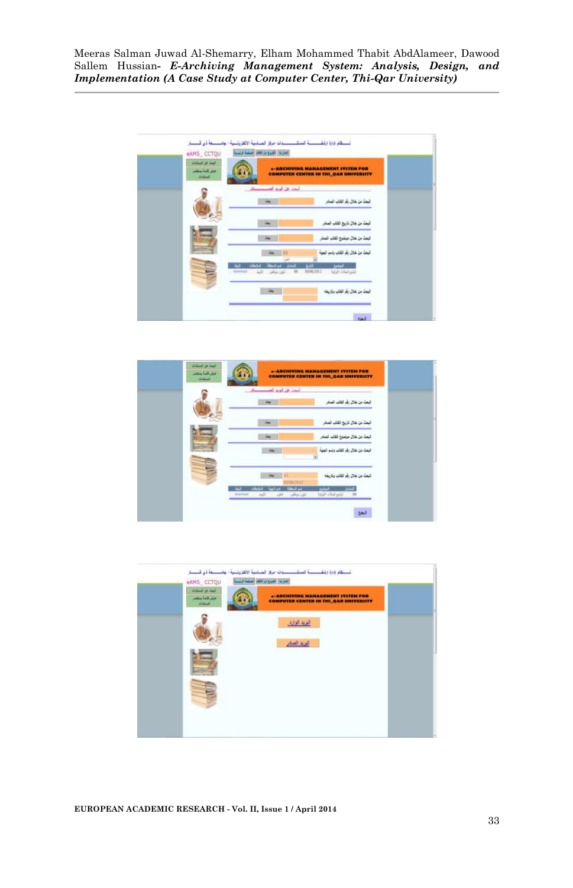| <b>4-ARCHIVING MANAGEMENT SYSTEM FOR</b><br>COMPUTER CENTER IN THI_OAR UNIVERSITY                            | البعادي الستندى<br>حيش فلمأ يملصن<br>تشكت |
|--------------------------------------------------------------------------------------------------------------|-------------------------------------------|
| اللمت عن قويد قعب<br>البعث من خلال رقم القلب الصادر<br>244                                                   |                                           |
|                                                                                                              |                                           |
| البعث من خلال تاريخ القاب الصادر<br><b>CAL</b><br>البعث من خلال موضوع القلب الصادر                           |                                           |
| البعث من خلال رقم الكتاب واسم الجهة<br>Eхэ<br>$\overline{a}$<br><b>List</b>                                  |                                           |
| فليغ<br><b>SILLER</b><br>الموشدة<br>فللذ اسالبطة<br>50/08/2012<br>$-66$<br>Telephone Visit<br>Use lishs hidd | <b>STILL</b><br>فانط<br><b>Cityenham</b>  |
| ia,<br>البعث من خلال رقم الكتاب ولتاريخه                                                                     |                                           |



| هريد فوارد   |  |
|--------------|--|
| البريد الصغر |  |
|              |  |
|              |  |
|              |  |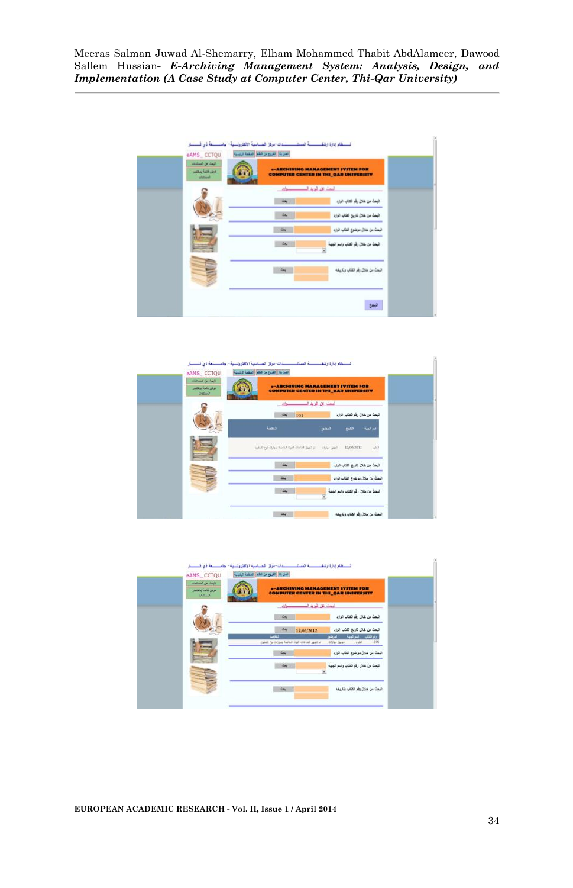

| البعث من المستندك                  |                                                                                                   |
|------------------------------------|---------------------------------------------------------------------------------------------------|
| حجن فاتمة بمختصر<br><b>Gladies</b> | <b>e-ARCHIVING MANAGEMENT SYSTEM FOR</b><br><b>COMPUTER CENTER IN THI_OAR UNIVERSITY</b>          |
|                                    | النمت عن البريد السيست سوارد                                                                      |
|                                    | البعث من خلال رقم الكتاب الوارد<br>$\Delta \mathbf{a}_\ell$<br>101                                |
|                                    | فنصد<br>فبركبهة<br>فللبغ<br>الموشوع                                                               |
|                                    | 12/06/2012<br>المبيل سرارات  كم شويبل فكامات الدولة القاسنة بينوارات توج التنقون<br>$\mu(\alpha)$ |
|                                    |                                                                                                   |
|                                    | de.<br>البعث من خلال تاريخ الكتاب الوازد                                                          |
| <b>Disc</b>                        | نغتا<br>البعث من خلال موضوع القتاب الوارد                                                         |
|                                    | البعثُ من خلال رقم الكتاب واسم الجهةُ<br><b>Cay</b><br>$\overline{a}$                             |

| البعد عن المستفاعد<br>عاش كلمة يتنقص | <b>«-ARCHIVING MANAGEMENT IVITEM FOR</b><br>ЛW<br><b>COMPUTER CENTER IN THI_OAR UNIVERSITY</b> |                                                      |
|--------------------------------------|------------------------------------------------------------------------------------------------|------------------------------------------------------|
| تستندنك                              | النمت عن البريد الب<br><b>Allen</b>                                                            |                                                      |
|                                      | <b>Gay</b>                                                                                     | البعث من خلال رقم الثناب الوارد                      |
|                                      | day.<br>12/06/2012<br>تنصة<br>الموشوع                                                          | البعث من خلال ناريخ الكتاب الوزد<br>أوالكلب اسوالمها |
|                                      | تر لمهل فذاعت الرئة الفاصة بنيارات نوع النخوز.<br>City June                                    | 101<br><b>Calgary</b>                                |
|                                      | بعثة                                                                                           | البعث من خلال موضوع الفتاب الوازد                    |
|                                      | <b>SAY</b><br>$\overline{a}$                                                                   | البعثُ من خلال رقم القتاب ونسم الجهة                 |
|                                      |                                                                                                |                                                      |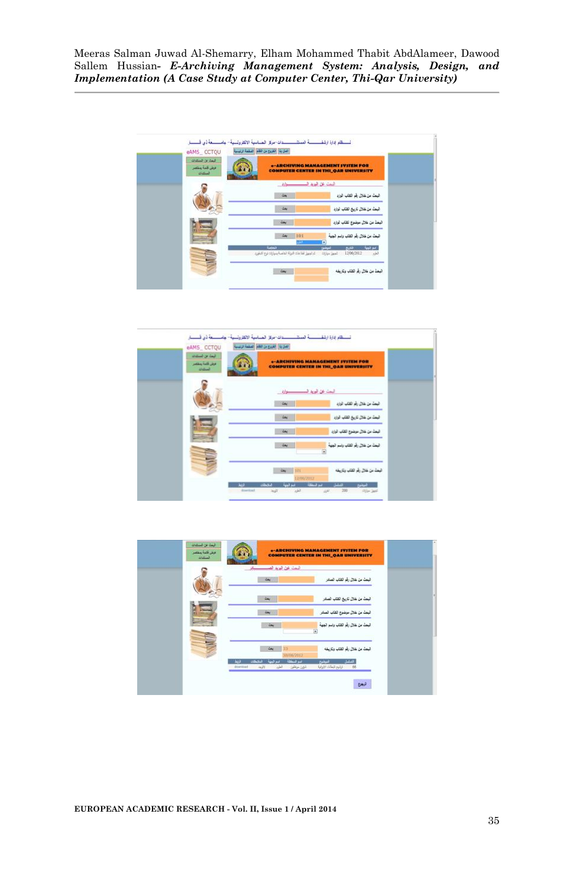



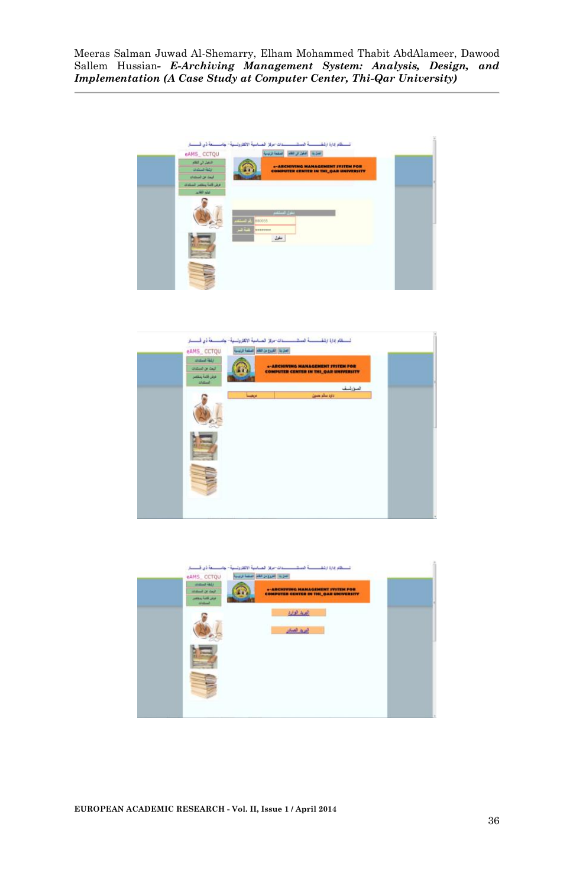| .<br>بدات مركز المسامية الإلكتروتسية - جامسسمة ذي قسستار<br>eAMS_CCTQU<br>شین تر فقر | تستقام إدارة اركشيسية المنتقسب<br>العبل بنار التقرن في هفتان المقدة فريبتية      |  |
|--------------------------------------------------------------------------------------|----------------------------------------------------------------------------------|--|
| القلة فننصف                                                                          | <b> ARCHIVING MANAGEMENT IVITEM FOR</b><br>COMPUTER CENTER IN THI_QAR UNIVERSITY |  |
| البنت من البنتانات<br>عمل فلمة يمقامر المنكدك<br>After State                         |                                                                                  |  |
|                                                                                      | الفول المنكفلوا<br><b>NEWS IN HOOSE</b><br><b>SEPTE HOMES</b><br>نغول            |  |



| eAMS_CCTQU                                                      | إحدارته العرووس القلو الصفعة ترعيبة                                             |  |
|-----------------------------------------------------------------|---------------------------------------------------------------------------------|--|
| باللة فستدلد<br>المدامن السفاك<br>محر فتناجعتم<br><b>ARREST</b> | <b>ARCHIVING MANAGEMENT IVITEM FOR</b><br>COMPUTER CENTER IN THE_OAN UNIVERSITY |  |
|                                                                 | البريد توارد                                                                    |  |
|                                                                 | البريد العباس<br>-                                                              |  |
|                                                                 |                                                                                 |  |
|                                                                 |                                                                                 |  |
|                                                                 |                                                                                 |  |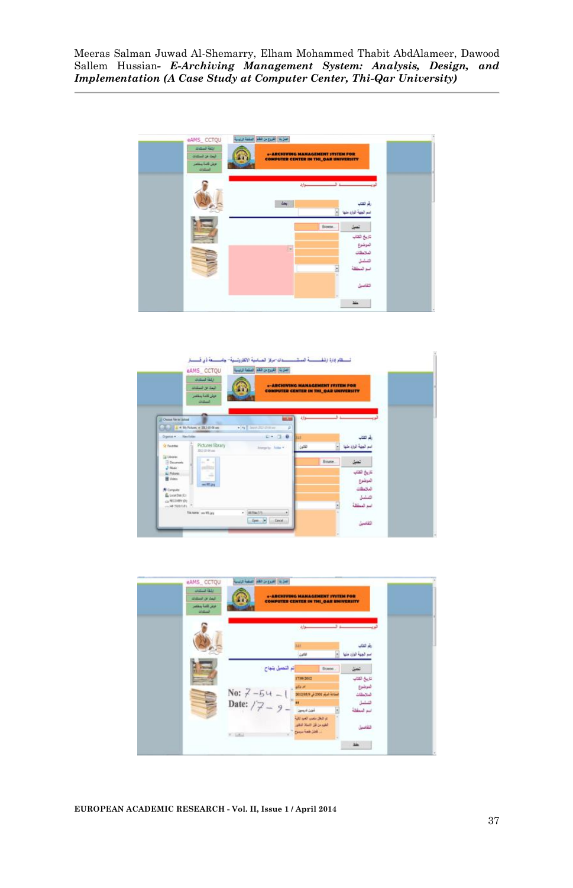



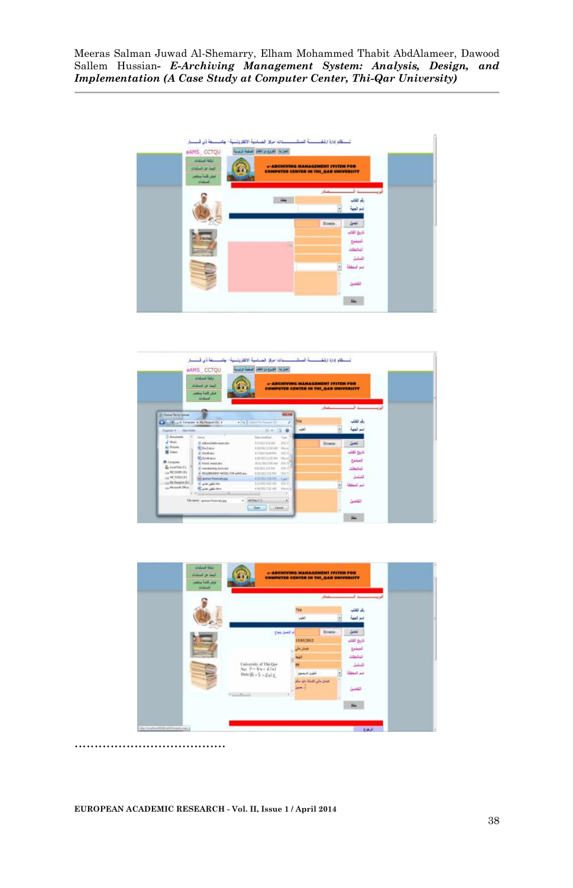

| 24.240<br>البنة عن المنشاك<br>معنى قلمة بمنتسر<br>abilities <sup>1</sup> |                                        |                                          | <b><i>&amp;-ARCHIVING MANAGEMENT SVITEM FOR</i></b><br>COMPUTER CENTER IN THI_OAN UNIVERSITY |                       |       |
|--------------------------------------------------------------------------|----------------------------------------|------------------------------------------|----------------------------------------------------------------------------------------------|-----------------------|-------|
|                                                                          |                                        |                                          |                                                                                              | the common the common | ليزيد |
| F Done Ne to United<br>WCLA Consuler a McResponsible a                   | . In I have it found to                | <b>COLLANS</b><br>1754<br>$\overline{B}$ |                                                                                              | رقد تفتاب             |       |
| Drawing # Peter Balded                                                   | $H = 100$                              | الطيع                                    |                                                                                              | سرتيبة                |       |
| <b>R</b> Documents<br><b>None</b>                                        | Determined                             | <b>Super</b>                             |                                                                                              |                       |       |
| $2$ Matic<br>if absolute eachier                                         | 5/5/802 848 AM                         | DOCK                                     | <b>Bistema</b>                                                                               | لغط                   |       |
| ani Peturer<br><b>EDuction</b><br><b>N</b> Village                       | AUMINIZED MAIL                         | <b>More</b>                              |                                                                                              |                       |       |
| A Doubl dog<br><b>Count Aves</b>                                         | STORED BRIDGE<br>678100712-91040 64cmm | $-200$                                   |                                                                                              | تاريخ تكثف            |       |
| <b>N</b> Canadar<br>of tiend-mentals:                                    | DESIGNEES IN 1998 - DOC R              |                                          |                                                                                              | لموشوع                |       |
| L Louis Dia (C)<br>30 mentenhis form dec                                 | 9/9/2013 8:22 PM                       | 20C                                      |                                                                                              | الملاحظات             |       |
| List RECOVERY (D.L.<br>A RECORDINATION FOR AMEAS.                        | MERCEDES N                             | inty) v                                  |                                                                                              |                       |       |
| Lis NP 700LS (P)<br>All sponsor financials pro-                          | ACOUNTED SEAR                          | <b>Funni</b>                             |                                                                                              | فتشل                  |       |
| Lis My Passage (G2)<br><b>LAND LIGHT</b><br>and Michael Office           | STATISTICS AND ARE                     | <b>DOCT</b>                              | ×                                                                                            | اسد المعلقة           |       |
| All عامل امام (B                                                         | 639-2012 121-844                       | Majaria                                  |                                                                                              |                       |       |
|                                                                          |                                        |                                          |                                                                                              |                       |       |



......................................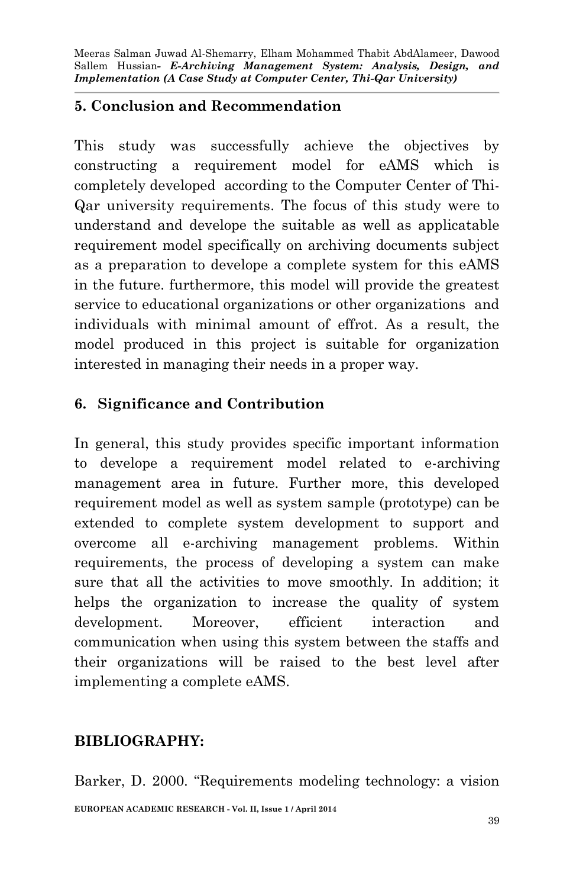#### **5. Conclusion and Recommendation**

This study was successfully achieve the objectives by constructing a requirement model for eAMS which is completely developed according to the Computer Center of Thi-Qar university requirements. The focus of this study were to understand and develope the suitable as well as applicatable requirement model specifically on archiving documents subject as a preparation to develope a complete system for this eAMS in the future. furthermore, this model will provide the greatest service to educational organizations or other organizations and individuals with minimal amount of effrot. As a result, the model produced in this project is suitable for organization interested in managing their needs in a proper way.

#### **6. Significance and Contribution**

In general, this study provides specific important information to develope a requirement model related to e-archiving management area in future. Further more, this developed requirement model as well as system sample (prototype) can be extended to complete system development to support and overcome all e-archiving management problems. Within requirements, the process of developing a system can make sure that all the activities to move smoothly. In addition; it helps the organization to increase the quality of system development. Moreover, efficient interaction and communication when using this system between the staffs and their organizations will be raised to the best level after implementing a complete eAMS.

### **BIBLIOGRAPHY:**

**EUROPEAN ACADEMIC RESEARCH - Vol. II, Issue 1 / April 2014** Barker, D. 2000. "Requirements modeling technology: a vision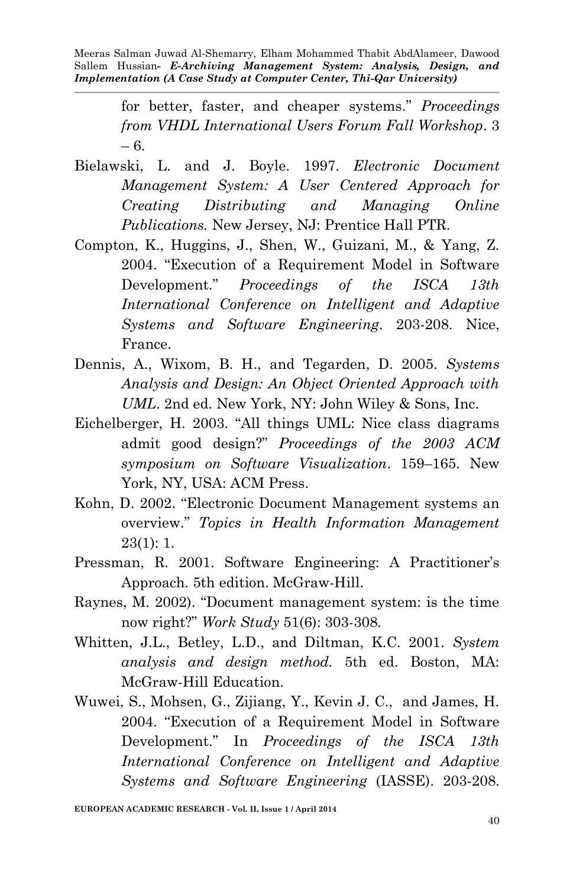> for better, faster, and cheaper systems." *Proceedings from VHDL International Users Forum Fall Workshop*. 3 – 6.

- Bielawski, L. and J. Boyle. 1997. *Electronic Document Management System: A User Centered Approach for Creating Distributing and Managing Online Publications.* New Jersey, NJ: Prentice Hall PTR.
- Compton, K., Huggins, J., Shen, W., Guizani, M., & Yang, Z. 2004. "Execution of a Requirement Model in Software Development." *Proceedings of the ISCA 13th International Conference on Intelligent and Adaptive Systems and Software Engineering*. 203-208. Nice, France.
- Dennis, A., Wixom, B. H., and Tegarden, D. 2005. *Systems Analysis and Design: An Object Oriented Approach with UML*. 2nd ed. New York, NY: John Wiley & Sons, Inc.
- Eichelberger, H. 2003. "All things UML: Nice class diagrams admit good design?" *Proceedings of the 2003 ACM symposium on Software Visualization*. 159–165. New York, NY, USA: ACM Press.
- Kohn, D. 2002. "Electronic Document Management systems an overview." *Topics in Health Information Management* 23(1): 1.
- Pressman, R. 2001. Software Engineering: A Practitioner's Approach. 5th edition. McGraw-Hill.
- Raynes, M. 2002). "Document management system: is the time now right?" *Work Study* 51(6): 303-308.
- Whitten, J.L., Betley, L.D., and Diltman, K.C. 2001. *System analysis and design method.* 5th ed. Boston, MA: McGraw-Hill Education.
- Wuwei, S., Mohsen, G., Zijiang, Y., Kevin J. C., and James, H. 2004. "Execution of a Requirement Model in Software Development." In *Proceedings of the ISCA 13th International Conference on Intelligent and Adaptive Systems and Software Engineering* (IASSE). 203-208.